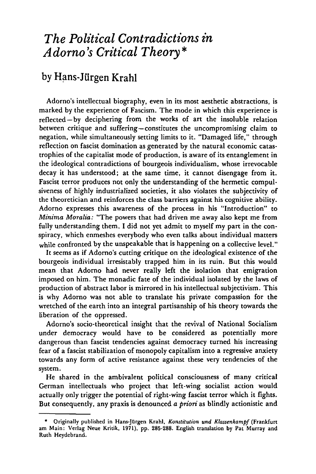## *The Political Contradictions in Adorno's Critical Theory\**

## **by Hans-Jurgen Krahl**

Adorno's intellectual biography, even in its most aesthetic abstractions, is marked by the experience of Fascism. The mode in which this experience is reflected—by deciphering from the works of art the insoluble relation between critique and suffering—constitutes the uncompromising claim to negation, while simultaneously setting limits to it. "Damaged life," through reflection on fascist domination as generated by the natural economic catastrophies of the capitalist mode of production, is aware of its entanglement in the ideological contradictions of bourgeois individualism, whose irrevocable decay it has understood; at the same time, it cannot disengage from it. Fascist terror produces not only the understanding of the hermetic compulsiveness of highly industrialized societies, it also violates the subjectivity of the theoretician and reinforces the class barriers against his cognitive ability. Adorno expresses this awareness of the process in his "Introduction" to *Minima Moralia:* "The powers that had driven me away also kept me from fully understanding them. I did not yet admit to myself my part in the conspiracy, which enmeshes everybody who even talks about individual matters while confronted by the unspeakable that is happening on a collective level."

It seems as if Adorno's cutting critique on the ideological existence of the bourgeois individual irresistably trapped him in its ruin. But this would mean that Adorno had never really left the isolation that emigration imposed on him. The monadic fate of the individual isolated by the laws of production of abstract labor is mirrored in his intellectual subjectivism. This is why Adorno was not able to translate his private compassion for the wretched of the earth into an integral partisanship of his theory towards the liberation of the oppressed.

Adorno's socio-theoretical insight that the revival of National Socialism under democracy would have to be considered as potentially more dangerous than fascist tendencies against democracy turned his increasing fear of a fascist stabilization of monopoly capitalism into a regressive anxiety towards any form of active resistance against these very tendencies of the system.

He shared in the ambivalent political consciousness of many critical German intellectuals who project that left-wing socialist action would actually only trigger the potential of right-wing fascist terror which it fights. But consequently, any praxis is denounced *a priori* as blindly actionistic and

<sup>\*</sup> Originally published in Hans-Jürgen Krahl, *Konstitution und Klassenkampf* (Frankfurt **am Main: Verlag Neue Kritik, 1971), pp. 285-288. English translation by Pat Murray and Ruth Heydebrand.**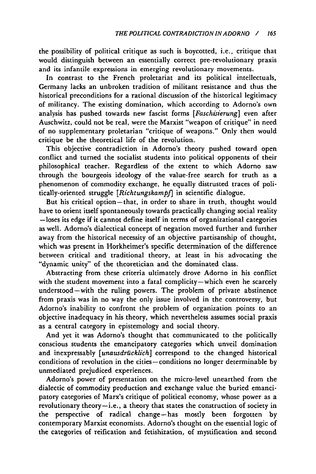the possibility of political critique as such is boycotted, i.e., critique that would distinguish between an essentially correct pre-revolutionary praxis and its infantile expressions in emerging revolutionary movements.

In contrast to the French proletariat and its political intellectuals, Germany lacks an unbroken tradition of militant resistance and thus the historical preconditions for a rational discussion of the historical legitimacy of militancy. The existing domination, which according to Adorno's own analysis has pushed towards new fascist forms *[Faschisterung]* even after Auschwitz, could not be real, were the Marxist "weapon of critique" in need of no supplementary proletarian "critique of weapons." Only then would critique be the theoretical life of the revolution.

This objective contradiction in Adorno's theory pushed toward open conflict and turned the socialist students into political opponents of their philosophical teacher. Regardless of the extent to which Adorno saw through the bourgeois ideology of the value-free search for truth as a phenomenon of commodity exchange, he equally distrusted traces of politically-oriented struggle *[RichtungskampJ]* in scientific dialogue.

But his critical option—that, in order to share in truth, thought would have to orient itself spontaneously towards practically changing social reality —loses its edge if it cannot define itself in terms of organizational categories as well. Adorno's dialectical concept of negation moved further and further away from the historical necessity of an objective partisanship of thought, which was present in Horkheimer's specific determination of the difference between critical and traditional theory, at least in his advocating the "dynamic unity" of the theoretician and the dominated class.

Abstracting from these criteria ultimately drove Adorno in his conflict with the student movement into a fatal complicity—which even he scarcely understood—with the ruling powers. The problem of private abstinence from praxis was in no way the only issue involved in the controversy, but Adorno's inability to confront the problem of organization points to an objective inadequacy in his theory, which nevertheless assumes social praxis as a central category in epistemology and social theory.

And yet it was Adorno's thought that communicated to the politically conscious students the emancipatory categories which unveil domination and inexpressably *[unausdrticklich]* correspond to the changed historical conditions of revolution in the cities —conditions no longer determinable by unmediated prejudiced experiences.

Adorno's power of presentation on the micro-level unearthed from the dialectic of commodity production and exchange value the buried emancipatory categories of Marx's critique of political economy, whose power as a revolutionary theory—i.e., a theory that states the construction of society in the perspective of radical change—has mostly been forgotten by contemporary Marxist economists. Adorno's thought on the essential logic of the categories of reification and fetishization, of mystification and second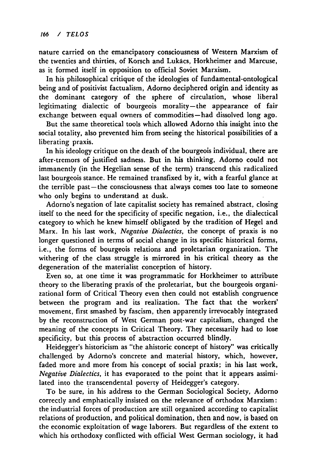nature carried on the emancipatory consciousness of Western Marxism of the twenties and thirties, of Korsch and Lukacs, Horkheimer and Marcuse, as it formed itself in opposition to official Soviet Marxism.

In his philosophical critique of the ideologies of fundamental-ontological being and of positivist factualism, Adorno deciphered origin and identity as the dominant category of the sphere of circulation, whose liberal legitimating dialectic of bourgeois morality—the appearance of fair exchange between equal owners of commodities—had dissolved long ago.

But the same theoretical tools which allowed Adorno this insight into the social totality, also prevented him from seeing the historical possibilities of a liberating praxis.

In his ideology critique on the death of the bourgeois individual, there are after-tremors of justified sadness. But in his thinking, Adorno could not immanently (in the Hegelian sense of the term) transcend this radicalized last bourgeois stance. He remained transfixed by it, with a fearful glance at the terrible past —the consciousness that always comes too late to someone who only begins to understand at dusk.

Adorno's negation of late capitalist society has remained abstract, closing itself to the need for the specificity of specific negation, i.e., the dialectical category to which he knew himself obligated by the tradition of Hegel and Marx. In his last work, *Negative Dialectics,* the concept of praxis is no longer questioned in terms of social change in its specific historical forms, i.e., the forms of bourgeois relations and proletarian organization. The withering of the class struggle is mirrored in his critical theory as the degeneration of the materialist conception of history.

Even so, at one time it was programmatic for Horkheimer to attribute theory to the liberating praxis of the proletariat, but the bourgeois organizational form of Critical Theory even then could not establish congruence between the program and its realization. The fact that the workers' movement, first smashed by fascism, then apparently irrevocably integrated by the reconstruction of West German post-war capitalism, changed the meaning of the concepts in Critical Theory. They necessarily had to lose specificity, but this process of abstraction occurred blindly.

Heidegger's historicism as "the ahistoric concept of history" was critically challenged by Adorno's concrete and material history, which, however, faded more and more from his concept of social praxis; in his last work, *Negative Dialectics,* it has evaporated to the point that it appears assimilated into the transcendental poverty of Heidegger's category.

To be sure, in his address to the German Sociological Society, Adorno correctly and emphatically insisted on the relevance of orthodox Marxism: the industrial forces of production are still organized according to capitalist relations of production, and political domination, then and now, is based on the economic exploitation of wage laborers. But regardless of the extent to which his orthodoxy conflicted with official West German sociology, it had